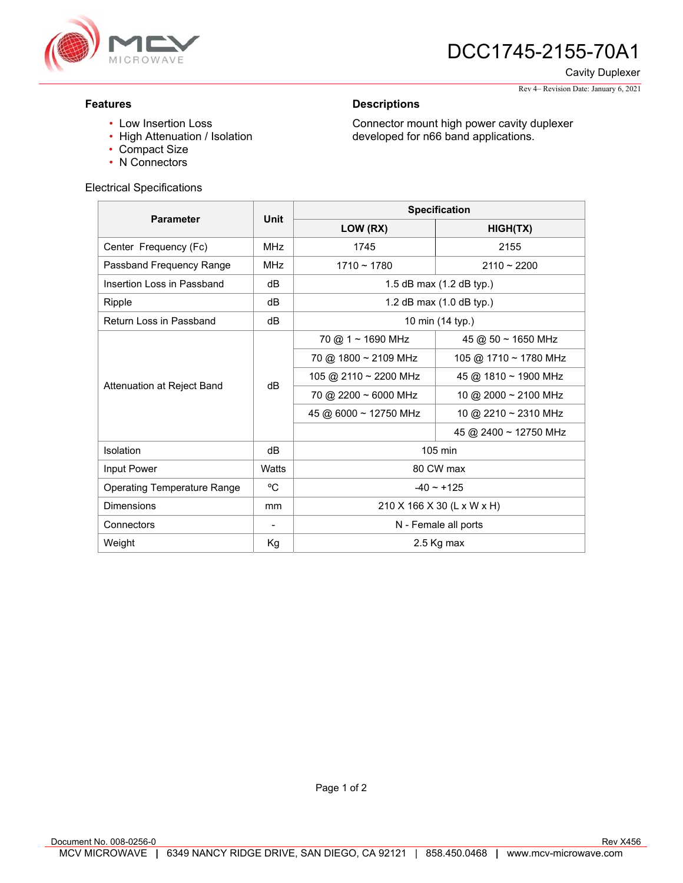

# **745** DCC1745-2155-70A1

Cavity Duplexer

Rev 4– Revision Date: January 6, 2021

### **Features**

### **Descriptions**

Connector mount high power cavity duplexer developed for n66 band applications.

• Low Insertion Loss

- High Attenuation / Isolation
- Compact Size
- N Connectors

#### Electrical Specifications

| <b>Parameter</b>                   | Unit       | <b>Specification</b>                    |                           |
|------------------------------------|------------|-----------------------------------------|---------------------------|
|                                    |            | LOW (RX)                                | HIGH(TX)                  |
| Center Frequency (Fc)              | <b>MHz</b> | 1745                                    | 2155                      |
| Passband Frequency Range           | <b>MHz</b> | $1710 - 1780$                           | $2110 - 2200$             |
| Insertion Loss in Passband         | dB         | 1.5 dB max (1.2 dB typ.)                |                           |
| Ripple                             | dB         | 1.2 dB max $(1.0$ dB typ.)              |                           |
| Return Loss in Passband            | dB         | 10 min (14 typ.)                        |                           |
| Attenuation at Reject Band         | dB         | $70 \text{ @ } 1 \sim 1690 \text{ MHz}$ | 45 @ 50 ~ 1650 MHz        |
|                                    |            | 70 @ 1800 ~ 2109 MHz                    | 105 @ 1710 ~ 1780 MHz     |
|                                    |            | 105 @ 2110 ~ 2200 MHz                   | 45 @ 1810 ~ 1900 MHz      |
|                                    |            | 70 @ 2200 ~ 6000 MHz                    | 10 @ 2000 $\sim$ 2100 MHz |
|                                    |            | 45 @ 6000 ~ 12750 MHz                   | 10 @ 2210 ~ 2310 MHz      |
|                                    |            |                                         | 45 @ 2400 ~ 12750 MHz     |
| Isolation                          | dB         | $105 \text{ min}$                       |                           |
| Input Power                        | Watts      | 80 CW max                               |                           |
| <b>Operating Temperature Range</b> | °C         | $-40 \sim +125$                         |                           |
| Dimensions                         | mm         | 210 X 166 X 30 (L x W x H)              |                           |
| Connectors                         |            | N - Female all ports                    |                           |
| Weight                             | Kg         | 2.5 Kg max                              |                           |